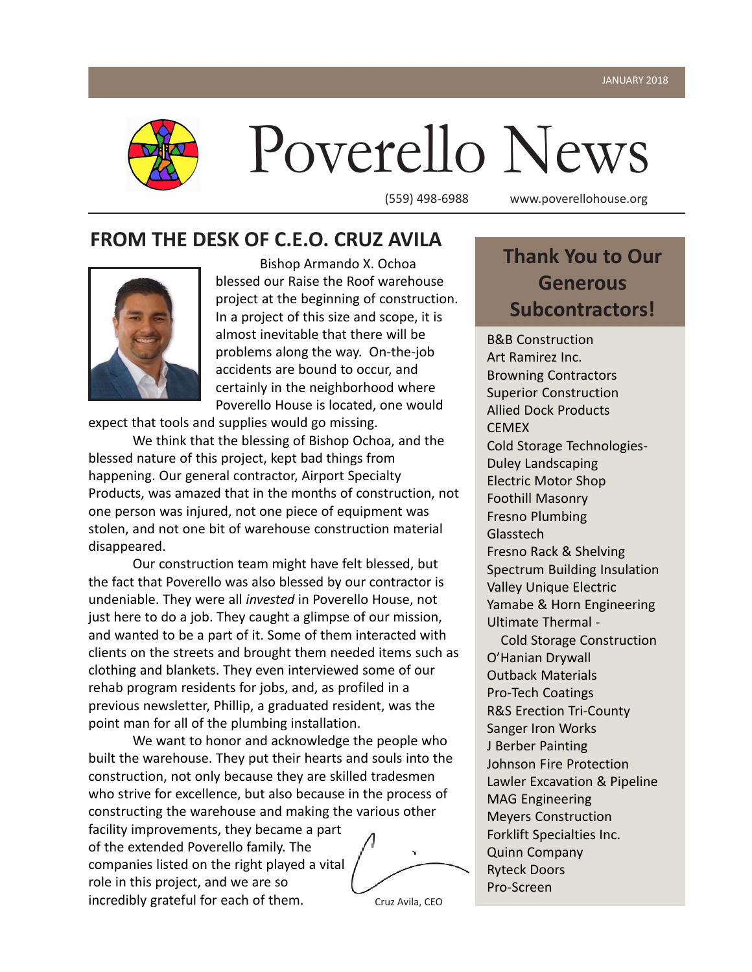

# Poverello News

(559) 498-6988 www.poverellohouse.org

#### **FROM THE DESK OF C.E.O. CRUZ AVILA**



Bishop Armando X. Ochoa blessed our Raise the Roof warehouse project at the beginning of construction. In a project of this size and scope, it is almost inevitable that there will be problems along the way. On-the-job accidents are bound to occur, and certainly in the neighborhood where Poverello House is located, one would

expect that tools and supplies would go missing.

We think that the blessing of Bishop Ochoa, and the blessed nature of this project, kept bad things from happening. Our general contractor, Airport Specialty Products, was amazed that in the months of construction, not one person was injured, not one piece of equipment was stolen, and not one bit of warehouse construction material disappeared.

Our construction team might have felt blessed, but the fact that Poverello was also blessed by our contractor is undeniable. They were all *invested* in Poverello House, not just here to do a job. They caught a glimpse of our mission, and wanted to be a part of it. Some of them interacted with clients on the streets and brought them needed items such as clothing and blankets. They even interviewed some of our rehab program residents for jobs, and, as profiled in a previous newsletter, Phillip, a graduated resident, was the point man for all of the plumbing installation.

We want to honor and acknowledge the people who built the warehouse. They put their hearts and souls into the construction, not only because they are skilled tradesmen who strive for excellence, but also because in the process of constructing the warehouse and making the various other

facility improvements, they became a part of the extended Poverello family. The companies listed on the right played a vital role in this project, and we are so incredibly grateful for each of them.

Cruz Avila, CEO

# **Thank You to Our Generous Subcontractors!**

B&B Construction Art Ramirez Inc. Browning Contractors Superior Construction Allied Dock Products CEMEX Cold Storage Technologies-Duley Landscaping Electric Motor Shop Foothill Masonry Fresno Plumbing **Glasstech** Fresno Rack & Shelving Spectrum Building Insulation Valley Unique Electric Yamabe & Horn Engineering Ultimate Thermal -

 Cold Storage Construction O'Hanian Drywall Outback Materials Pro-Tech Coatings R&S Erection Tri-County Sanger Iron Works J Berber Painting Johnson Fire Protection Lawler Excavation & Pipeline MAG Engineering Meyers Construction Forklift Specialties Inc. Quinn Company Ryteck Doors Pro-Screen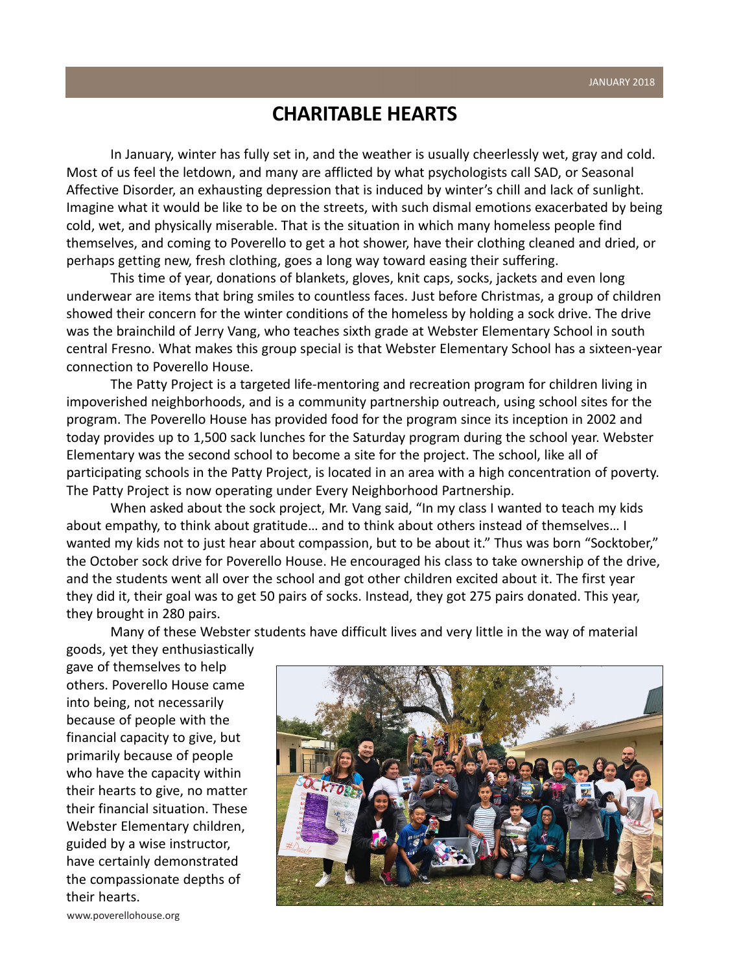#### **CHARITABLE HEARTS**

In January, winter has fully set in, and the weather is usually cheerlessly wet, gray and cold. Most of us feel the letdown, and many are afflicted by what psychologists call SAD, or Seasonal Affective Disorder, an exhausting depression that is induced by winter's chill and lack of sunlight. Imagine what it would be like to be on the streets, with such dismal emotions exacerbated by being cold, wet, and physically miserable. That is the situation in which many homeless people find themselves, and coming to Poverello to get a hot shower, have their clothing cleaned and dried, or perhaps getting new, fresh clothing, goes a long way toward easing their suffering.

This time of year, donations of blankets, gloves, knit caps, socks, jackets and even long underwear are items that bring smiles to countless faces. Just before Christmas, a group of children showed their concern for the winter conditions of the homeless by holding a sock drive. The drive was the brainchild of Jerry Vang, who teaches sixth grade at Webster Elementary School in south central Fresno. What makes this group special is that Webster Elementary School has a sixteen-year connection to Poverello House.

The Patty Project is a targeted life-mentoring and recreation program for children living in impoverished neighborhoods, and is a community partnership outreach, using school sites for the program. The Poverello House has provided food for the program since its inception in 2002 and today provides up to 1,500 sack lunches for the Saturday program during the school year. Webster Elementary was the second school to become a site for the project. The school, like all of participating schools in the Patty Project, is located in an area with a high concentration of poverty. The Patty Project is now operating under Every Neighborhood Partnership.

When asked about the sock project, Mr. Vang said, "In my class I wanted to teach my kids about empathy, to think about gratitude… and to think about others instead of themselves… I wanted my kids not to just hear about compassion, but to be about it." Thus was born "Socktober," the October sock drive for Poverello House. He encouraged his class to take ownership of the drive, and the students went all over the school and got other children excited about it. The first year they did it, their goal was to get 50 pairs of socks. Instead, they got 275 pairs donated. This year, they brought in 280 pairs.

Many of these Webster students have difficult lives and very little in the way of material

goods, yet they enthusiastically gave of themselves to help others. Poverello House came into being, not necessarily because of people with the financial capacity to give, but primarily because of people who have the capacity within their hearts to give, no matter their financial situation. These Webster Elementary children, guided by a wise instructor, have certainly demonstrated the compassionate depths of their hearts.